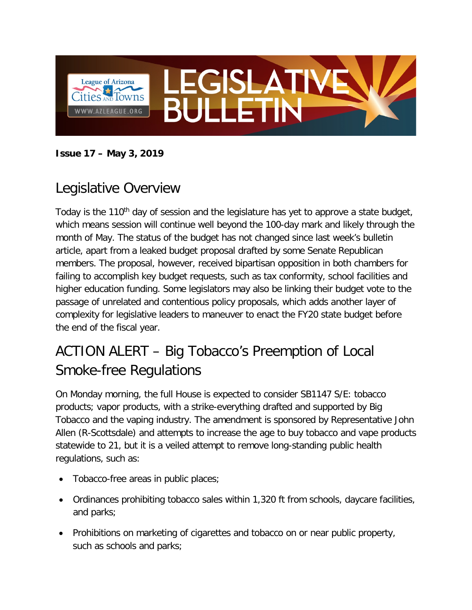

**Issue 17 – May 3, 2019**

## Legislative Overview

Today is the 110<sup>th</sup> day of session and the legislature has yet to approve a state budget, which means session will continue well beyond the 100-day mark and likely through the month of May. The status of the budget has not changed since last week's bulletin article, apart from a leaked budget proposal drafted by some Senate Republican members. The proposal, however, received bipartisan opposition in both chambers for failing to accomplish key budget requests, such as tax conformity, school facilities and higher education funding. Some legislators may also be linking their budget vote to the passage of unrelated and contentious policy proposals, which adds another layer of complexity for legislative leaders to maneuver to enact the FY20 state budget before the end of the fiscal year.

## ACTION ALERT – Big Tobacco's Preemption of Local Smoke-free Regulations

On Monday morning, the full House is expected to consider SB1147 S/E: tobacco products; vapor products, with a strike-everything drafted and supported by Big Tobacco and the vaping industry. The amendment is sponsored by Representative John Allen (R-Scottsdale) and attempts to increase the age to buy tobacco and vape products statewide to 21, but it is a veiled attempt to remove long-standing public health regulations, such as:

- Tobacco-free areas in public places;
- Ordinances prohibiting tobacco sales within 1,320 ft from schools, daycare facilities, and parks;
- Prohibitions on marketing of cigarettes and tobacco on or near public property, such as schools and parks;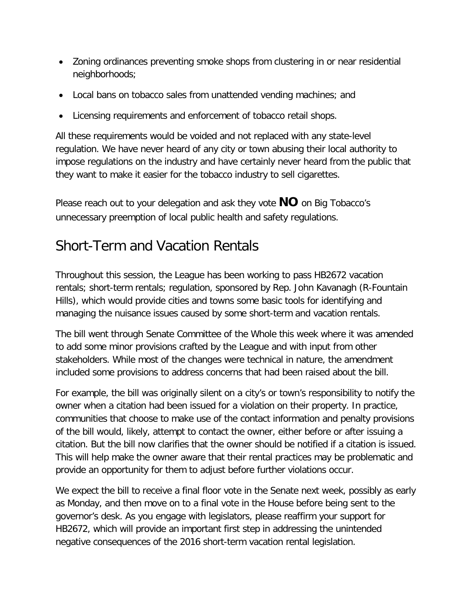- Zoning ordinances preventing smoke shops from clustering in or near residential neighborhoods;
- Local bans on tobacco sales from unattended vending machines; and
- Licensing requirements and enforcement of tobacco retail shops.

All these requirements would be voided and not replaced with any state-level regulation. We have never heard of any city or town abusing their local authority to impose regulations on the industry and have certainly never heard from the public that they want to make it easier for the tobacco industry to sell cigarettes.

Please reach out to your delegation and ask they vote **NO** on Big Tobacco's unnecessary preemption of local public health and safety regulations.

## Short-Term and Vacation Rentals

Throughout this session, the League has been working to pass HB2672 vacation rentals; short-term rentals; regulation, sponsored by Rep. John Kavanagh (R-Fountain Hills), which would provide cities and towns some basic tools for identifying and managing the nuisance issues caused by some short-term and vacation rentals.

The bill went through Senate Committee of the Whole this week where it was amended to add some minor provisions crafted by the League and with input from other stakeholders. While most of the changes were technical in nature, the amendment included some provisions to address concerns that had been raised about the bill.

For example, the bill was originally silent on a city's or town's responsibility to notify the owner when a citation had been issued for a violation on their property. In practice, communities that choose to make use of the contact information and penalty provisions of the bill would, likely, attempt to contact the owner, either before or after issuing a citation. But the bill now clarifies that the owner should be notified if a citation is issued. This will help make the owner aware that their rental practices may be problematic and provide an opportunity for them to adjust before further violations occur.

We expect the bill to receive a final floor vote in the Senate next week, possibly as early as Monday, and then move on to a final vote in the House before being sent to the governor's desk. As you engage with legislators, please reaffirm your support for HB2672, which will provide an important first step in addressing the unintended negative consequences of the 2016 short-term vacation rental legislation.